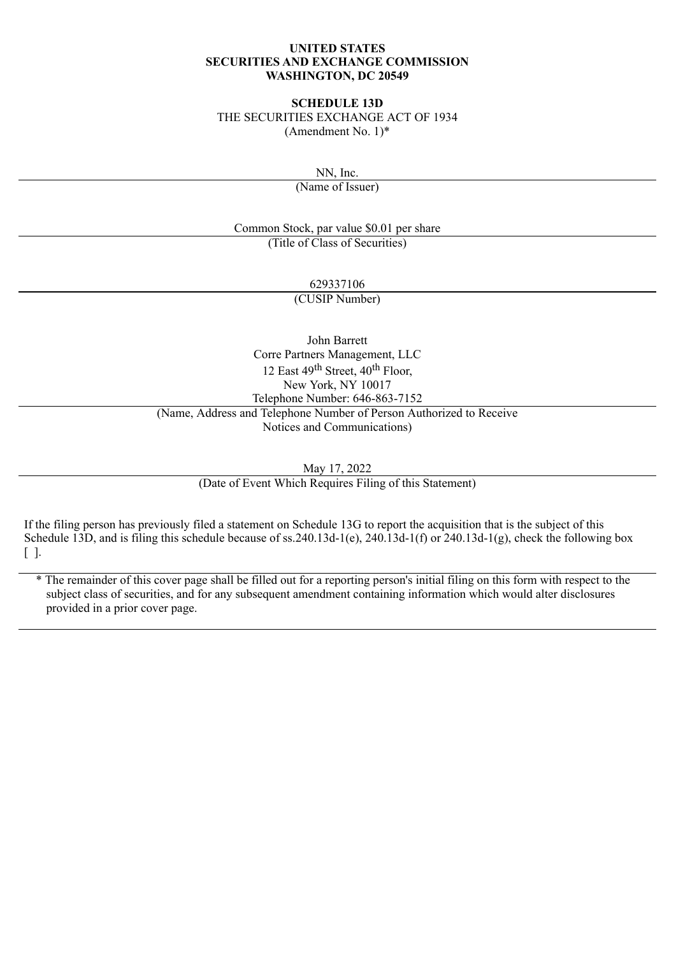#### **UNITED STATES SECURITIES AND EXCHANGE COMMISSION WASHINGTON, DC 20549**

#### **SCHEDULE 13D**

THE SECURITIES EXCHANGE ACT OF 1934 (Amendment No. 1)\*

NN, Inc.

(Name of Issuer)

Common Stock, par value \$0.01 per share (Title of Class of Securities)

629337106

(CUSIP Number)

John Barrett Corre Partners Management, LLC 12 East 49<sup>th</sup> Street, 40<sup>th</sup> Floor, New York, NY 10017 Telephone Number: 646-863-7152 (Name, Address and Telephone Number of Person Authorized to Receive Notices and Communications)

May 17, 2022

(Date of Event Which Requires Filing of this Statement)

If the filing person has previously filed a statement on Schedule 13G to report the acquisition that is the subject of this Schedule 13D, and is filing this schedule because of ss. 240.13d-1(e), 240.13d-1(f) or 240.13d-1(g), check the following box [ ].

\* The remainder of this cover page shall be filled out for a reporting person's initial filing on this form with respect to the subject class of securities, and for any subsequent amendment containing information which would alter disclosures provided in a prior cover page.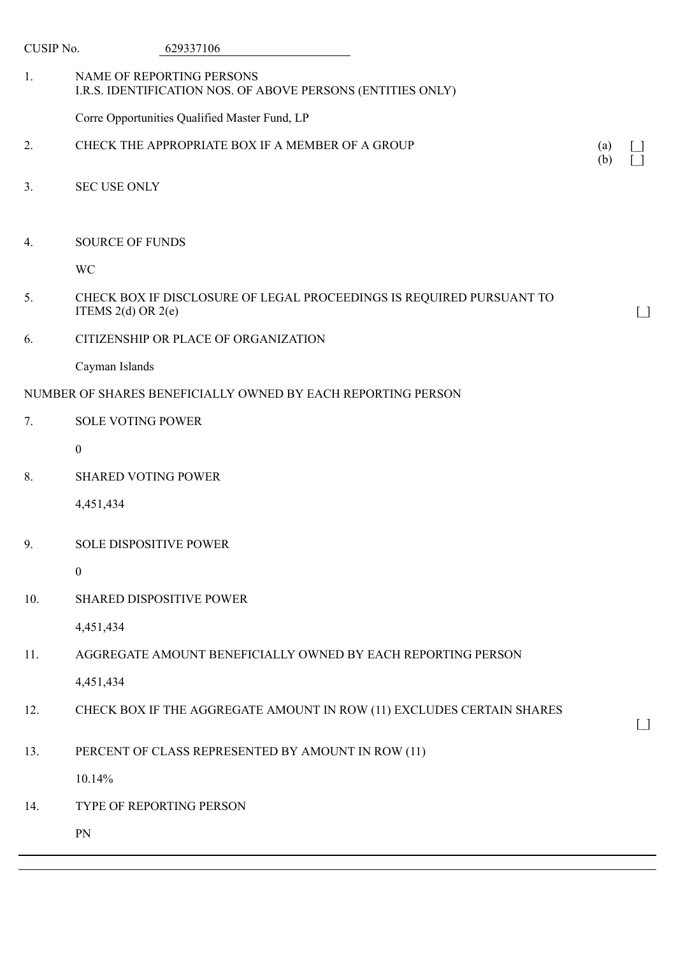| CUSIP No. | 629337106                                                                                      |            |                                                    |
|-----------|------------------------------------------------------------------------------------------------|------------|----------------------------------------------------|
| 1.        | NAME OF REPORTING PERSONS<br>I.R.S. IDENTIFICATION NOS. OF ABOVE PERSONS (ENTITIES ONLY)       |            |                                                    |
|           | Corre Opportunities Qualified Master Fund, LP                                                  |            |                                                    |
| 2.        | CHECK THE APPROPRIATE BOX IF A MEMBER OF A GROUP                                               | (a)<br>(b) |                                                    |
| 3.        | <b>SEC USE ONLY</b>                                                                            |            |                                                    |
| 4.        | <b>SOURCE OF FUNDS</b>                                                                         |            |                                                    |
|           | <b>WC</b>                                                                                      |            |                                                    |
| 5.        | CHECK BOX IF DISCLOSURE OF LEGAL PROCEEDINGS IS REQUIRED PURSUANT TO<br>ITEMS $2(d)$ OR $2(e)$ |            | $\Box$                                             |
| 6.        | CITIZENSHIP OR PLACE OF ORGANIZATION                                                           |            |                                                    |
|           | Cayman Islands                                                                                 |            |                                                    |
|           | NUMBER OF SHARES BENEFICIALLY OWNED BY EACH REPORTING PERSON                                   |            |                                                    |
| 7.        | <b>SOLE VOTING POWER</b>                                                                       |            |                                                    |
|           | $\boldsymbol{0}$                                                                               |            |                                                    |
| 8.        | <b>SHARED VOTING POWER</b>                                                                     |            |                                                    |
|           | 4,451,434                                                                                      |            |                                                    |
| 9.        | <b>SOLE DISPOSITIVE POWER</b>                                                                  |            |                                                    |
|           | $\boldsymbol{0}$                                                                               |            |                                                    |
| 10.       | <b>SHARED DISPOSITIVE POWER</b>                                                                |            |                                                    |
|           | 4,451,434                                                                                      |            |                                                    |
| 11.       | AGGREGATE AMOUNT BENEFICIALLY OWNED BY EACH REPORTING PERSON                                   |            |                                                    |
|           | 4,451,434                                                                                      |            |                                                    |
| 12.       | CHECK BOX IF THE AGGREGATE AMOUNT IN ROW (11) EXCLUDES CERTAIN SHARES                          |            | $\begin{array}{c} \boxed{\phantom{0}} \end{array}$ |
| 13.       | PERCENT OF CLASS REPRESENTED BY AMOUNT IN ROW (11)                                             |            |                                                    |
|           | 10.14%                                                                                         |            |                                                    |
| 14.       | TYPE OF REPORTING PERSON                                                                       |            |                                                    |
|           | PN                                                                                             |            |                                                    |
|           |                                                                                                |            |                                                    |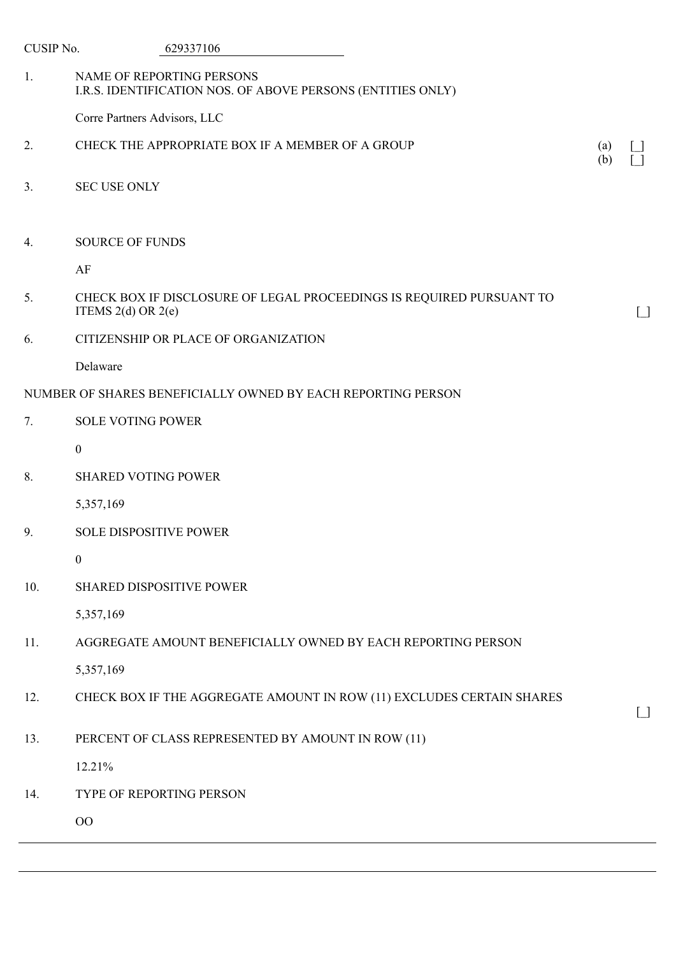| CUSIP No.      | 629337106                                                                                      |                                                    |
|----------------|------------------------------------------------------------------------------------------------|----------------------------------------------------|
| 1.             | NAME OF REPORTING PERSONS<br>I.R.S. IDENTIFICATION NOS. OF ABOVE PERSONS (ENTITIES ONLY)       |                                                    |
|                | Corre Partners Advisors, LLC                                                                   |                                                    |
| 2.             | CHECK THE APPROPRIATE BOX IF A MEMBER OF A GROUP<br>(a)<br>(b)                                 |                                                    |
| 3 <sub>1</sub> | <b>SEC USE ONLY</b>                                                                            |                                                    |
| 4.             | <b>SOURCE OF FUNDS</b>                                                                         |                                                    |
|                | AF                                                                                             |                                                    |
| 5.             | CHECK BOX IF DISCLOSURE OF LEGAL PROCEEDINGS IS REQUIRED PURSUANT TO<br>ITEMS $2(d)$ OR $2(e)$ | $\begin{array}{c} \boxed{\phantom{0}} \end{array}$ |
| 6.             | CITIZENSHIP OR PLACE OF ORGANIZATION                                                           |                                                    |
|                | Delaware                                                                                       |                                                    |
|                | NUMBER OF SHARES BENEFICIALLY OWNED BY EACH REPORTING PERSON                                   |                                                    |
| 7.             | <b>SOLE VOTING POWER</b>                                                                       |                                                    |
|                | $\mathbf{0}$                                                                                   |                                                    |
| 8.             | <b>SHARED VOTING POWER</b>                                                                     |                                                    |
|                | 5,357,169                                                                                      |                                                    |
| 9.             | <b>SOLE DISPOSITIVE POWER</b>                                                                  |                                                    |
|                | $\boldsymbol{0}$                                                                               |                                                    |
| 10.            | <b>SHARED DISPOSITIVE POWER</b>                                                                |                                                    |
|                | 5,357,169                                                                                      |                                                    |
| 11.            | AGGREGATE AMOUNT BENEFICIALLY OWNED BY EACH REPORTING PERSON                                   |                                                    |
|                | 5,357,169                                                                                      |                                                    |
| 12.            | CHECK BOX IF THE AGGREGATE AMOUNT IN ROW (11) EXCLUDES CERTAIN SHARES                          | $\Box$                                             |
| 13.            | PERCENT OF CLASS REPRESENTED BY AMOUNT IN ROW (11)                                             |                                                    |
|                | 12.21%                                                                                         |                                                    |
| 14.            | TYPE OF REPORTING PERSON                                                                       |                                                    |
|                | $00\,$                                                                                         |                                                    |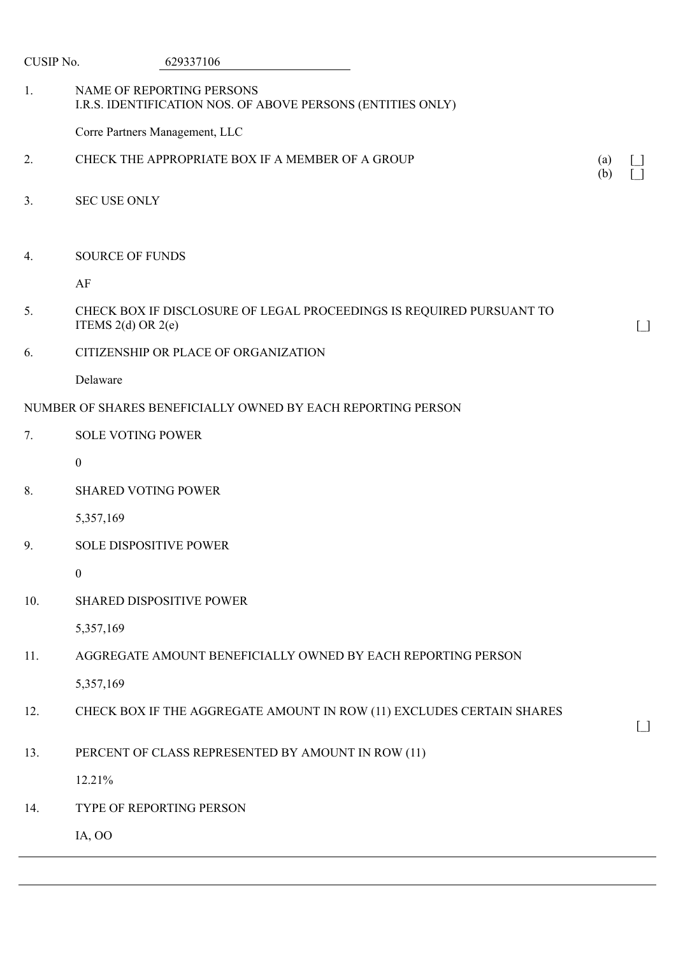| CUSIP No.      | 629337106                                                                                      |            |        |
|----------------|------------------------------------------------------------------------------------------------|------------|--------|
| 1.             | NAME OF REPORTING PERSONS<br>I.R.S. IDENTIFICATION NOS. OF ABOVE PERSONS (ENTITIES ONLY)       |            |        |
|                | Corre Partners Management, LLC                                                                 |            |        |
| 2.             | CHECK THE APPROPRIATE BOX IF A MEMBER OF A GROUP                                               | (a)<br>(b) |        |
| 3 <sub>1</sub> | <b>SEC USE ONLY</b>                                                                            |            |        |
| 4.             | <b>SOURCE OF FUNDS</b>                                                                         |            |        |
|                | AF                                                                                             |            |        |
| 5.             | CHECK BOX IF DISCLOSURE OF LEGAL PROCEEDINGS IS REQUIRED PURSUANT TO<br>ITEMS $2(d)$ OR $2(e)$ |            | $\Box$ |
| 6.             | CITIZENSHIP OR PLACE OF ORGANIZATION                                                           |            |        |
|                | Delaware                                                                                       |            |        |
|                | NUMBER OF SHARES BENEFICIALLY OWNED BY EACH REPORTING PERSON                                   |            |        |
| 7.             | <b>SOLE VOTING POWER</b>                                                                       |            |        |
|                | $\boldsymbol{0}$                                                                               |            |        |
| 8.             | <b>SHARED VOTING POWER</b>                                                                     |            |        |
|                | 5,357,169                                                                                      |            |        |
| 9.             | <b>SOLE DISPOSITIVE POWER</b>                                                                  |            |        |
|                | $\boldsymbol{0}$                                                                               |            |        |
| 10.            | SHARED DISPOSITIVE POWER                                                                       |            |        |
|                | 5,357,169                                                                                      |            |        |
| 11.            | AGGREGATE AMOUNT BENEFICIALLY OWNED BY EACH REPORTING PERSON                                   |            |        |
|                | 5,357,169                                                                                      |            |        |
| 12.            | CHECK BOX IF THE AGGREGATE AMOUNT IN ROW (11) EXCLUDES CERTAIN SHARES                          |            | $\Box$ |
| 13.            | PERCENT OF CLASS REPRESENTED BY AMOUNT IN ROW (11)                                             |            |        |
|                | 12.21%                                                                                         |            |        |
| 14.            | TYPE OF REPORTING PERSON                                                                       |            |        |
|                | IA, OO                                                                                         |            |        |
|                |                                                                                                |            |        |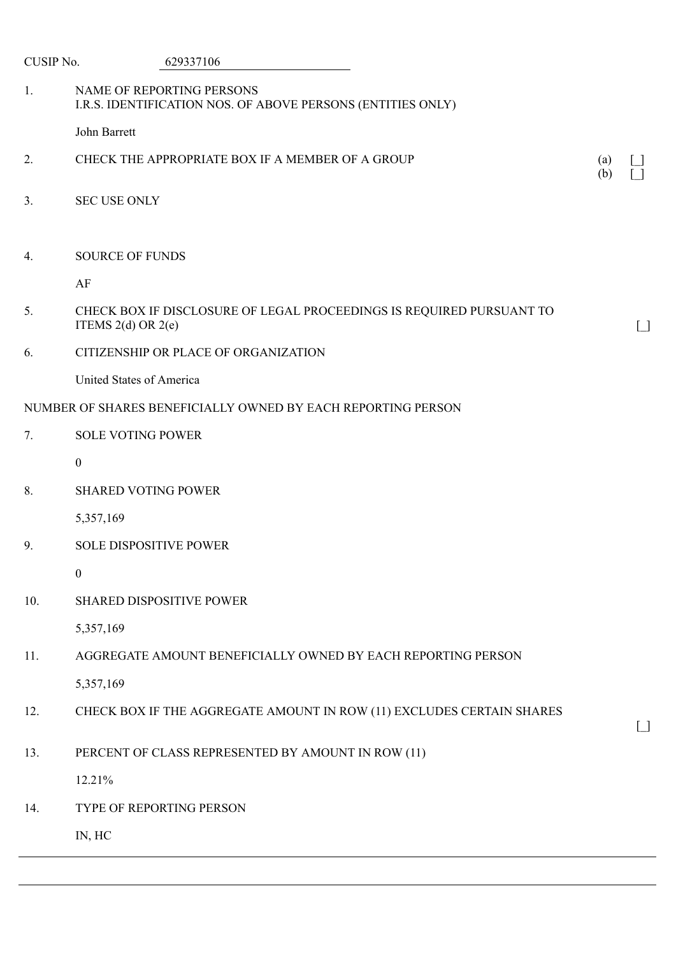| CUSIP No.      | 629337106                                                                                      |            |                   |
|----------------|------------------------------------------------------------------------------------------------|------------|-------------------|
| 1.             | NAME OF REPORTING PERSONS<br>I.R.S. IDENTIFICATION NOS. OF ABOVE PERSONS (ENTITIES ONLY)       |            |                   |
|                | John Barrett                                                                                   |            |                   |
| 2.             | CHECK THE APPROPRIATE BOX IF A MEMBER OF A GROUP                                               | (a)<br>(b) |                   |
| 3 <sub>1</sub> | <b>SEC USE ONLY</b>                                                                            |            |                   |
| 4.             | <b>SOURCE OF FUNDS</b>                                                                         |            |                   |
|                | AF                                                                                             |            |                   |
| 5.             | CHECK BOX IF DISCLOSURE OF LEGAL PROCEEDINGS IS REQUIRED PURSUANT TO<br>ITEMS $2(d)$ OR $2(e)$ |            | $\Box$            |
| 6.             | CITIZENSHIP OR PLACE OF ORGANIZATION                                                           |            |                   |
|                | United States of America                                                                       |            |                   |
|                | NUMBER OF SHARES BENEFICIALLY OWNED BY EACH REPORTING PERSON                                   |            |                   |
| 7.             | <b>SOLE VOTING POWER</b>                                                                       |            |                   |
|                | $\boldsymbol{0}$                                                                               |            |                   |
| 8.             | <b>SHARED VOTING POWER</b>                                                                     |            |                   |
|                | 5,357,169                                                                                      |            |                   |
| 9.             | <b>SOLE DISPOSITIVE POWER</b>                                                                  |            |                   |
|                | $\boldsymbol{0}$                                                                               |            |                   |
| 10.            | <b>SHARED DISPOSITIVE POWER</b>                                                                |            |                   |
|                | 5,357,169                                                                                      |            |                   |
| 11.            | AGGREGATE AMOUNT BENEFICIALLY OWNED BY EACH REPORTING PERSON                                   |            |                   |
|                | 5,357,169                                                                                      |            |                   |
| 12.            | CHECK BOX IF THE AGGREGATE AMOUNT IN ROW (11) EXCLUDES CERTAIN SHARES                          |            | $\lceil$ $\rceil$ |
| 13.            | PERCENT OF CLASS REPRESENTED BY AMOUNT IN ROW (11)                                             |            |                   |
|                | 12.21%                                                                                         |            |                   |
| 14.            | TYPE OF REPORTING PERSON                                                                       |            |                   |
|                | IN, HC                                                                                         |            |                   |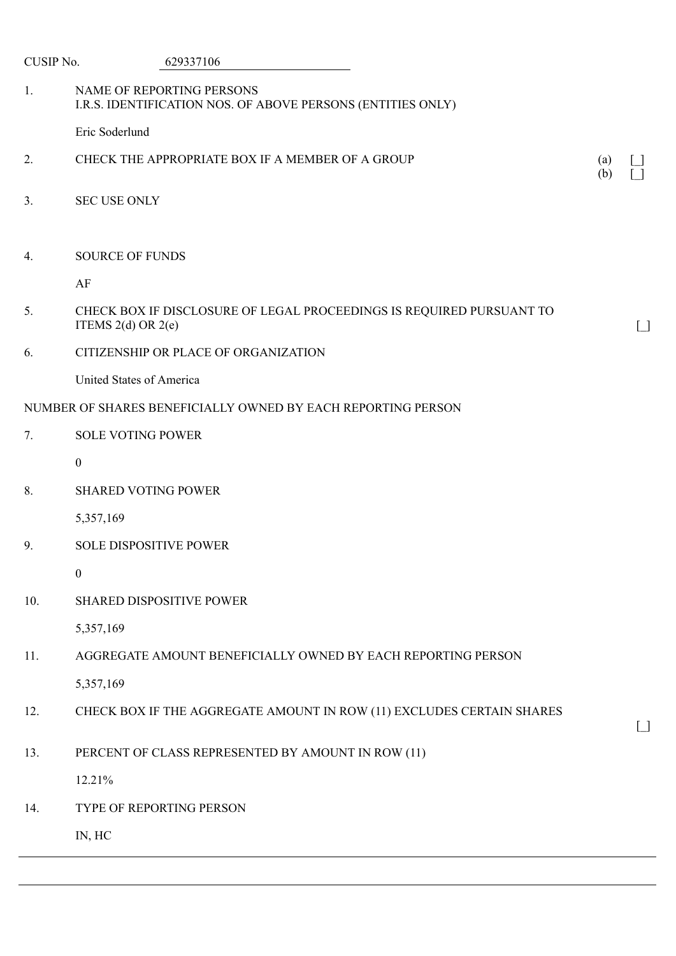| CUSIP No.      | 629337106                                                                                      |                          |                                                    |
|----------------|------------------------------------------------------------------------------------------------|--------------------------|----------------------------------------------------|
| 1.             | NAME OF REPORTING PERSONS<br>I.R.S. IDENTIFICATION NOS. OF ABOVE PERSONS (ENTITIES ONLY)       |                          |                                                    |
|                | Eric Soderlund                                                                                 |                          |                                                    |
| 2.             | CHECK THE APPROPRIATE BOX IF A MEMBER OF A GROUP                                               | $\left( a\right)$<br>(b) |                                                    |
| 3 <sub>1</sub> | <b>SEC USE ONLY</b>                                                                            |                          |                                                    |
| 4.             | <b>SOURCE OF FUNDS</b>                                                                         |                          |                                                    |
|                | AF                                                                                             |                          |                                                    |
| 5.             | CHECK BOX IF DISCLOSURE OF LEGAL PROCEEDINGS IS REQUIRED PURSUANT TO<br>ITEMS $2(d)$ OR $2(e)$ |                          | $\begin{array}{c} \boxed{\phantom{0}} \end{array}$ |
| 6.             | CITIZENSHIP OR PLACE OF ORGANIZATION                                                           |                          |                                                    |
|                | United States of America                                                                       |                          |                                                    |
|                | NUMBER OF SHARES BENEFICIALLY OWNED BY EACH REPORTING PERSON                                   |                          |                                                    |
| 7.             | <b>SOLE VOTING POWER</b>                                                                       |                          |                                                    |
|                | $\boldsymbol{0}$                                                                               |                          |                                                    |
| 8.             | <b>SHARED VOTING POWER</b>                                                                     |                          |                                                    |
|                | 5,357,169                                                                                      |                          |                                                    |
| 9.             | <b>SOLE DISPOSITIVE POWER</b>                                                                  |                          |                                                    |
|                | $\boldsymbol{0}$                                                                               |                          |                                                    |
| 10.            | <b>SHARED DISPOSITIVE POWER</b>                                                                |                          |                                                    |
|                | 5,357,169                                                                                      |                          |                                                    |
| 11.            | AGGREGATE AMOUNT BENEFICIALLY OWNED BY EACH REPORTING PERSON                                   |                          |                                                    |
|                | 5,357,169                                                                                      |                          |                                                    |
| 12.            | CHECK BOX IF THE AGGREGATE AMOUNT IN ROW (11) EXCLUDES CERTAIN SHARES                          |                          | $\Box$                                             |
| 13.            | PERCENT OF CLASS REPRESENTED BY AMOUNT IN ROW (11)                                             |                          |                                                    |
|                | 12.21%                                                                                         |                          |                                                    |
| 14.            | TYPE OF REPORTING PERSON                                                                       |                          |                                                    |
|                | IN, HC                                                                                         |                          |                                                    |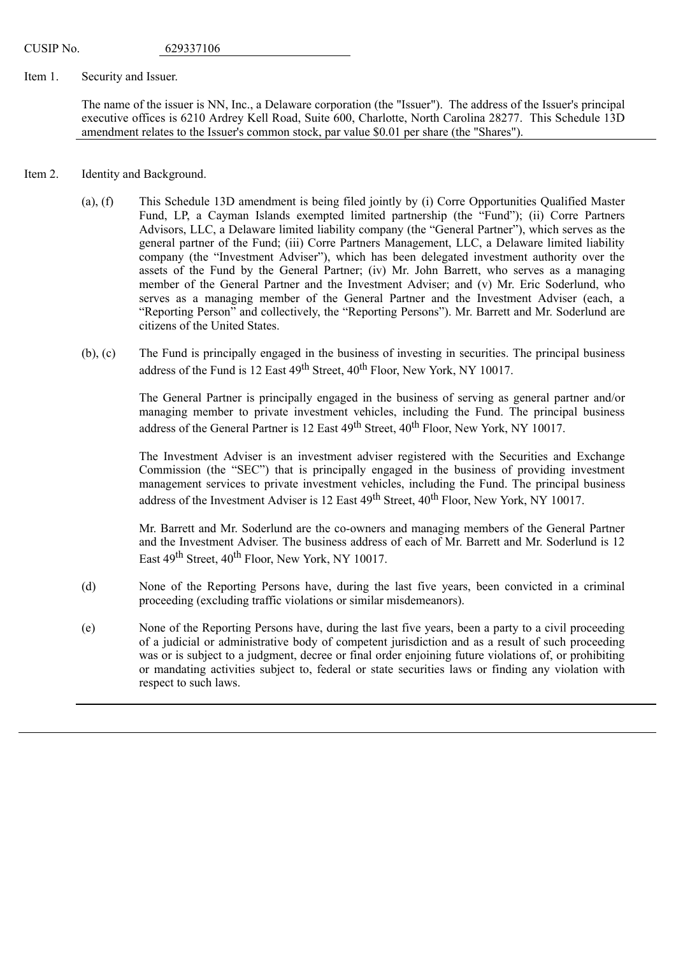## Item 1. Security and Issuer.

The name of the issuer is NN, Inc., a Delaware corporation (the "Issuer"). The address of the Issuer's principal executive offices is 6210 Ardrey Kell Road, Suite 600, Charlotte, North Carolina 28277. This Schedule 13D amendment relates to the Issuer's common stock, par value \$0.01 per share (the "Shares").

- Item 2. Identity and Background.
	- (a), (f) This Schedule 13D amendment is being filed jointly by (i) Corre Opportunities Qualified Master Fund, LP, a Cayman Islands exempted limited partnership (the "Fund"); (ii) Corre Partners Advisors, LLC, a Delaware limited liability company (the "General Partner"), which serves as the general partner of the Fund; (iii) Corre Partners Management, LLC, a Delaware limited liability company (the "Investment Adviser"), which has been delegated investment authority over the assets of the Fund by the General Partner; (iv) Mr. John Barrett, who serves as a managing member of the General Partner and the Investment Adviser; and (v) Mr. Eric Soderlund, who serves as a managing member of the General Partner and the Investment Adviser (each, a "Reporting Person" and collectively, the "Reporting Persons"). Mr. Barrett and Mr. Soderlund are citizens of the United States.
	- (b), (c) The Fund is principally engaged in the business of investing in securities. The principal business address of the Fund is 12 East 49<sup>th</sup> Street, 40<sup>th</sup> Floor, New York, NY 10017.

The General Partner is principally engaged in the business of serving as general partner and/or managing member to private investment vehicles, including the Fund. The principal business address of the General Partner is 12 East 49<sup>th</sup> Street, 40<sup>th</sup> Floor, New York, NY 10017.

The Investment Adviser is an investment adviser registered with the Securities and Exchange Commission (the "SEC") that is principally engaged in the business of providing investment management services to private investment vehicles, including the Fund. The principal business address of the Investment Adviser is 12 East 49<sup>th</sup> Street, 40<sup>th</sup> Floor, New York, NY 10017.

Mr. Barrett and Mr. Soderlund are the co-owners and managing members of the General Partner and the Investment Adviser. The business address of each of Mr. Barrett and Mr. Soderlund is 12 East 49<sup>th</sup> Street, 40<sup>th</sup> Floor, New York, NY 10017.

- (d) None of the Reporting Persons have, during the last five years, been convicted in a criminal proceeding (excluding traffic violations or similar misdemeanors).
- (e) None of the Reporting Persons have, during the last five years, been a party to a civil proceeding of a judicial or administrative body of competent jurisdiction and as a result of such proceeding was or is subject to a judgment, decree or final order enjoining future violations of, or prohibiting or mandating activities subject to, federal or state securities laws or finding any violation with respect to such laws.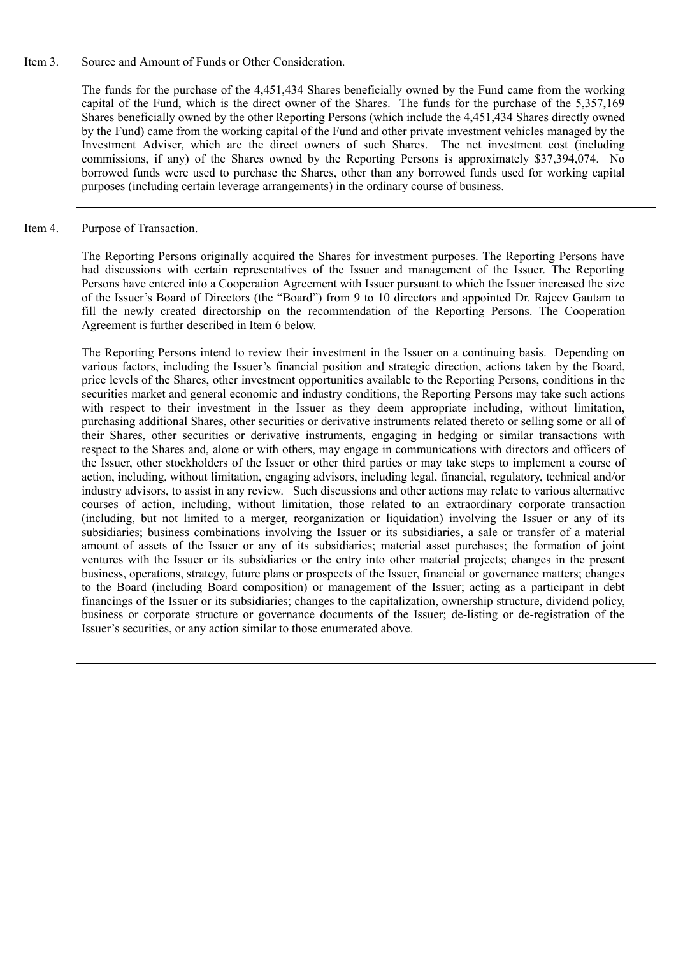Item 3. Source and Amount of Funds or Other Consideration.

The funds for the purchase of the 4,451,434 Shares beneficially owned by the Fund came from the working capital of the Fund, which is the direct owner of the Shares. The funds for the purchase of the 5,357,169 Shares beneficially owned by the other Reporting Persons (which include the 4,451,434 Shares directly owned by the Fund) came from the working capital of the Fund and other private investment vehicles managed by the Investment Adviser, which are the direct owners of such Shares. The net investment cost (including commissions, if any) of the Shares owned by the Reporting Persons is approximately \$37,394,074. No borrowed funds were used to purchase the Shares, other than any borrowed funds used for working capital purposes (including certain leverage arrangements) in the ordinary course of business.

Item 4. Purpose of Transaction.

The Reporting Persons originally acquired the Shares for investment purposes. The Reporting Persons have had discussions with certain representatives of the Issuer and management of the Issuer. The Reporting Persons have entered into a Cooperation Agreement with Issuer pursuant to which the Issuer increased the size of the Issuer's Board of Directors (the "Board") from 9 to 10 directors and appointed Dr. Rajeev Gautam to fill the newly created directorship on the recommendation of the Reporting Persons. The Cooperation Agreement is further described in Item 6 below.

The Reporting Persons intend to review their investment in the Issuer on a continuing basis. Depending on various factors, including the Issuer's financial position and strategic direction, actions taken by the Board, price levels of the Shares, other investment opportunities available to the Reporting Persons, conditions in the securities market and general economic and industry conditions, the Reporting Persons may take such actions with respect to their investment in the Issuer as they deem appropriate including, without limitation, purchasing additional Shares, other securities or derivative instruments related thereto or selling some or all of their Shares, other securities or derivative instruments, engaging in hedging or similar transactions with respect to the Shares and, alone or with others, may engage in communications with directors and officers of the Issuer, other stockholders of the Issuer or other third parties or may take steps to implement a course of action, including, without limitation, engaging advisors, including legal, financial, regulatory, technical and/or industry advisors, to assist in any review. Such discussions and other actions may relate to various alternative courses of action, including, without limitation, those related to an extraordinary corporate transaction (including, but not limited to a merger, reorganization or liquidation) involving the Issuer or any of its subsidiaries; business combinations involving the Issuer or its subsidiaries, a sale or transfer of a material amount of assets of the Issuer or any of its subsidiaries; material asset purchases; the formation of joint ventures with the Issuer or its subsidiaries or the entry into other material projects; changes in the present business, operations, strategy, future plans or prospects of the Issuer, financial or governance matters; changes to the Board (including Board composition) or management of the Issuer; acting as a participant in debt financings of the Issuer or its subsidiaries; changes to the capitalization, ownership structure, dividend policy, business or corporate structure or governance documents of the Issuer; de-listing or de-registration of the Issuer's securities, or any action similar to those enumerated above.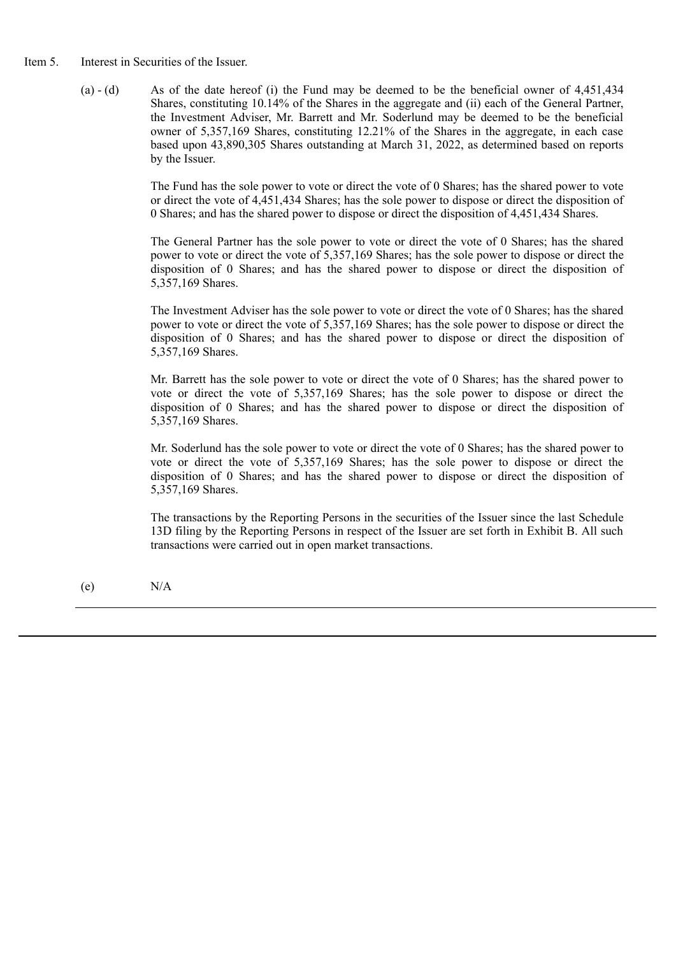- Item 5. Interest in Securities of the Issuer.
	- (a)  $-$  (d) As of the date hereof (i) the Fund may be deemed to be the beneficial owner of 4,451,434 Shares, constituting 10.14% of the Shares in the aggregate and (ii) each of the General Partner, the Investment Adviser, Mr. Barrett and Mr. Soderlund may be deemed to be the beneficial owner of 5,357,169 Shares, constituting 12.21% of the Shares in the aggregate, in each case based upon 43,890,305 Shares outstanding at March 31, 2022, as determined based on reports by the Issuer.

The Fund has the sole power to vote or direct the vote of 0 Shares; has the shared power to vote or direct the vote of 4,451,434 Shares; has the sole power to dispose or direct the disposition of 0 Shares; and has the shared power to dispose or direct the disposition of 4,451,434 Shares.

The General Partner has the sole power to vote or direct the vote of 0 Shares; has the shared power to vote or direct the vote of 5,357,169 Shares; has the sole power to dispose or direct the disposition of 0 Shares; and has the shared power to dispose or direct the disposition of 5,357,169 Shares.

The Investment Adviser has the sole power to vote or direct the vote of 0 Shares; has the shared power to vote or direct the vote of 5,357,169 Shares; has the sole power to dispose or direct the disposition of 0 Shares; and has the shared power to dispose or direct the disposition of 5,357,169 Shares.

Mr. Barrett has the sole power to vote or direct the vote of 0 Shares; has the shared power to vote or direct the vote of 5,357,169 Shares; has the sole power to dispose or direct the disposition of 0 Shares; and has the shared power to dispose or direct the disposition of 5,357,169 Shares.

Mr. Soderlund has the sole power to vote or direct the vote of 0 Shares; has the shared power to vote or direct the vote of 5,357,169 Shares; has the sole power to dispose or direct the disposition of 0 Shares; and has the shared power to dispose or direct the disposition of 5,357,169 Shares.

The transactions by the Reporting Persons in the securities of the Issuer since the last Schedule 13D filing by the Reporting Persons in respect of the Issuer are set forth in Exhibit B. All such transactions were carried out in open market transactions.

(e) N/A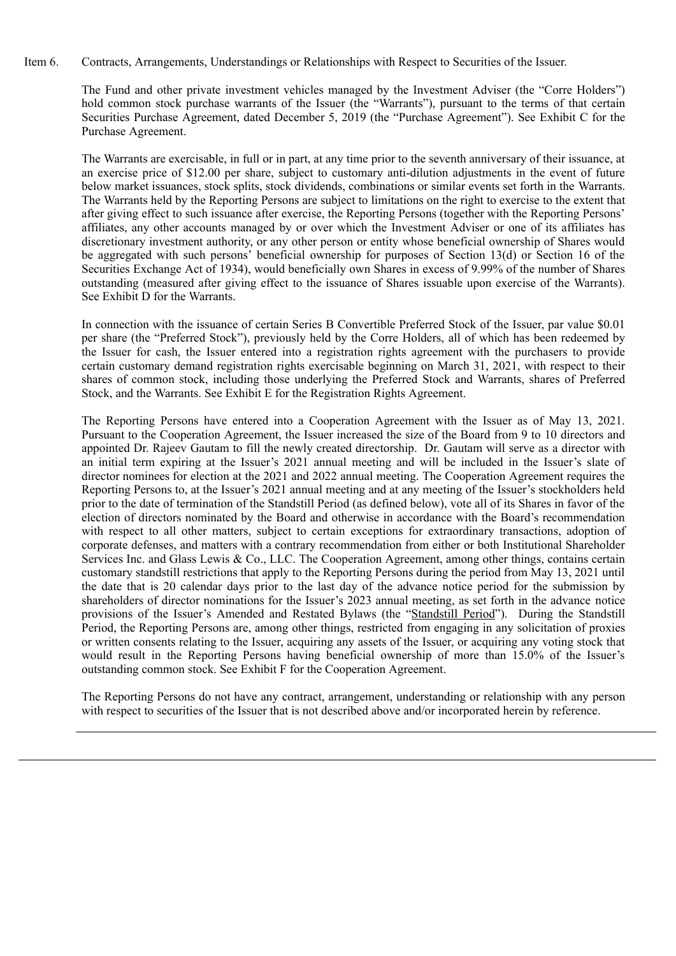Item 6. Contracts, Arrangements, Understandings or Relationships with Respect to Securities of the Issuer.

The Fund and other private investment vehicles managed by the Investment Adviser (the "Corre Holders") hold common stock purchase warrants of the Issuer (the "Warrants"), pursuant to the terms of that certain Securities Purchase Agreement, dated December 5, 2019 (the "Purchase Agreement"). See Exhibit C for the Purchase Agreement.

The Warrants are exercisable, in full or in part, at any time prior to the seventh anniversary of their issuance, at an exercise price of \$12.00 per share, subject to customary anti-dilution adjustments in the event of future below market issuances, stock splits, stock dividends, combinations or similar events set forth in the Warrants. The Warrants held by the Reporting Persons are subject to limitations on the right to exercise to the extent that after giving effect to such issuance after exercise, the Reporting Persons (together with the Reporting Persons' affiliates, any other accounts managed by or over which the Investment Adviser or one of its affiliates has discretionary investment authority, or any other person or entity whose beneficial ownership of Shares would be aggregated with such persons' beneficial ownership for purposes of Section 13(d) or Section 16 of the Securities Exchange Act of 1934), would beneficially own Shares in excess of 9.99% of the number of Shares outstanding (measured after giving effect to the issuance of Shares issuable upon exercise of the Warrants). See Exhibit D for the Warrants.

In connection with the issuance of certain Series B Convertible Preferred Stock of the Issuer, par value \$0.01 per share (the "Preferred Stock"), previously held by the Corre Holders, all of which has been redeemed by the Issuer for cash, the Issuer entered into a registration rights agreement with the purchasers to provide certain customary demand registration rights exercisable beginning on March 31, 2021, with respect to their shares of common stock, including those underlying the Preferred Stock and Warrants, shares of Preferred Stock, and the Warrants. See Exhibit E for the Registration Rights Agreement.

The Reporting Persons have entered into a Cooperation Agreement with the Issuer as of May 13, 2021. Pursuant to the Cooperation Agreement, the Issuer increased the size of the Board from 9 to 10 directors and appointed Dr. Rajeev Gautam to fill the newly created directorship. Dr. Gautam will serve as a director with an initial term expiring at the Issuer's 2021 annual meeting and will be included in the Issuer's slate of director nominees for election at the 2021 and 2022 annual meeting. The Cooperation Agreement requires the Reporting Persons to, at the Issuer's 2021 annual meeting and at any meeting of the Issuer's stockholders held prior to the date of termination of the Standstill Period (as defined below), vote all of its Shares in favor of the election of directors nominated by the Board and otherwise in accordance with the Board's recommendation with respect to all other matters, subject to certain exceptions for extraordinary transactions, adoption of corporate defenses, and matters with a contrary recommendation from either or both Institutional Shareholder Services Inc. and Glass Lewis & Co., LLC. The Cooperation Agreement, among other things, contains certain customary standstill restrictions that apply to the Reporting Persons during the period from May 13, 2021 until the date that is 20 calendar days prior to the last day of the advance notice period for the submission by shareholders of director nominations for the Issuer's 2023 annual meeting, as set forth in the advance notice provisions of the Issuer's Amended and Restated Bylaws (the "Standstill Period"). During the Standstill Period, the Reporting Persons are, among other things, restricted from engaging in any solicitation of proxies or written consents relating to the Issuer, acquiring any assets of the Issuer, or acquiring any voting stock that would result in the Reporting Persons having beneficial ownership of more than 15.0% of the Issuer's outstanding common stock. See Exhibit F for the Cooperation Agreement.

The Reporting Persons do not have any contract, arrangement, understanding or relationship with any person with respect to securities of the Issuer that is not described above and/or incorporated herein by reference.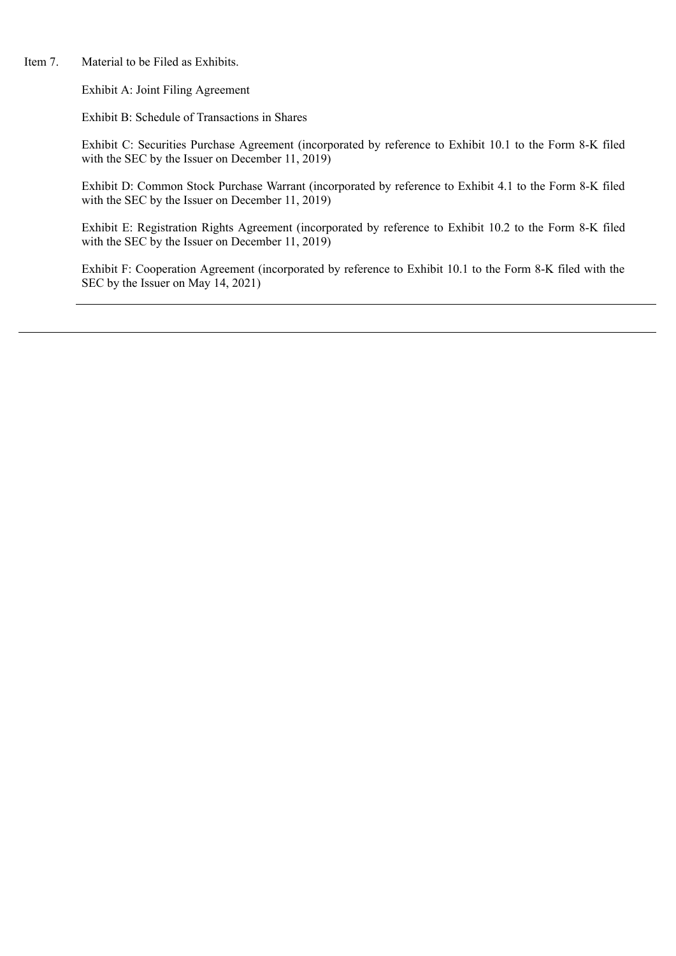Item 7. Material to be Filed as Exhibits.

Exhibit A: Joint Filing Agreement

Exhibit B: Schedule of Transactions in Shares

Exhibit C: Securities Purchase Agreement (incorporated by reference to Exhibit 10.1 to the Form 8-K filed with the SEC by the Issuer on December 11, 2019)

Exhibit D: Common Stock Purchase Warrant (incorporated by reference to Exhibit 4.1 to the Form 8-K filed with the SEC by the Issuer on December 11, 2019)

Exhibit E: Registration Rights Agreement (incorporated by reference to Exhibit 10.2 to the Form 8-K filed with the SEC by the Issuer on December 11, 2019)

Exhibit F: Cooperation Agreement (incorporated by reference to Exhibit 10.1 to the Form 8-K filed with the SEC by the Issuer on May 14, 2021)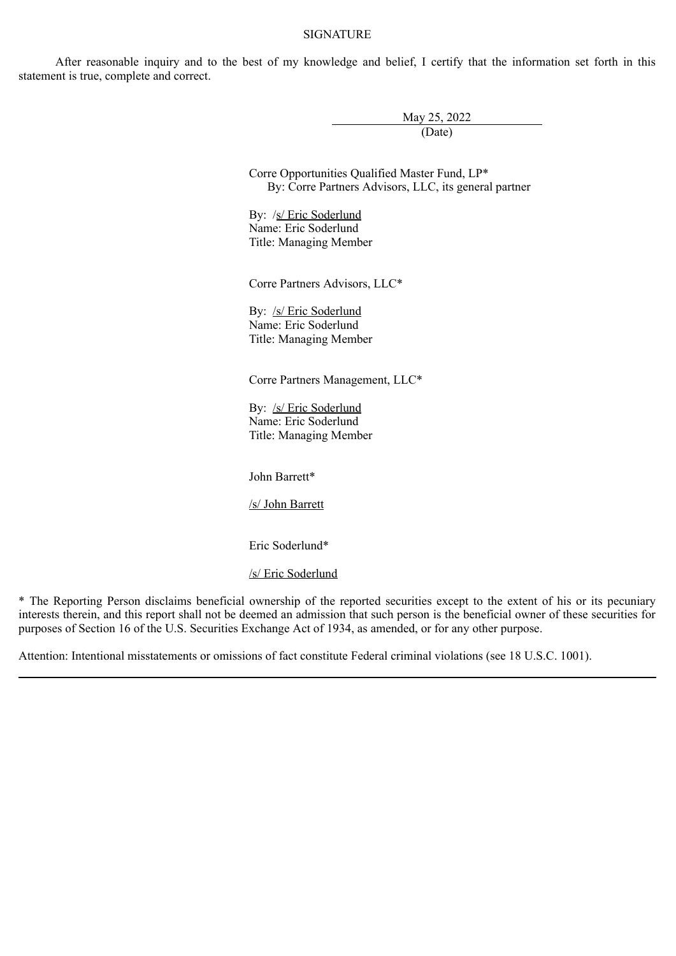#### **SIGNATURE**

After reasonable inquiry and to the best of my knowledge and belief, I certify that the information set forth in this statement is true, complete and correct.

> May 25, 2022 (Date)

Corre Opportunities Qualified Master Fund, LP\* By: Corre Partners Advisors, LLC, its general partner

By: /s/ Eric Soderlund Name: Eric Soderlund Title: Managing Member

Corre Partners Advisors, LLC\*

By: /s/ Eric Soderlund Name: Eric Soderlund Title: Managing Member

Corre Partners Management, LLC\*

By: /s/ Eric Soderlund Name: Eric Soderlund Title: Managing Member

John Barrett\*

/s/ John Barrett

Eric Soderlund\*

/s/ Eric Soderlund

\* The Reporting Person disclaims beneficial ownership of the reported securities except to the extent of his or its pecuniary interests therein, and this report shall not be deemed an admission that such person is the beneficial owner of these securities for purposes of Section 16 of the U.S. Securities Exchange Act of 1934, as amended, or for any other purpose.

Attention: Intentional misstatements or omissions of fact constitute Federal criminal violations (see 18 U.S.C. 1001).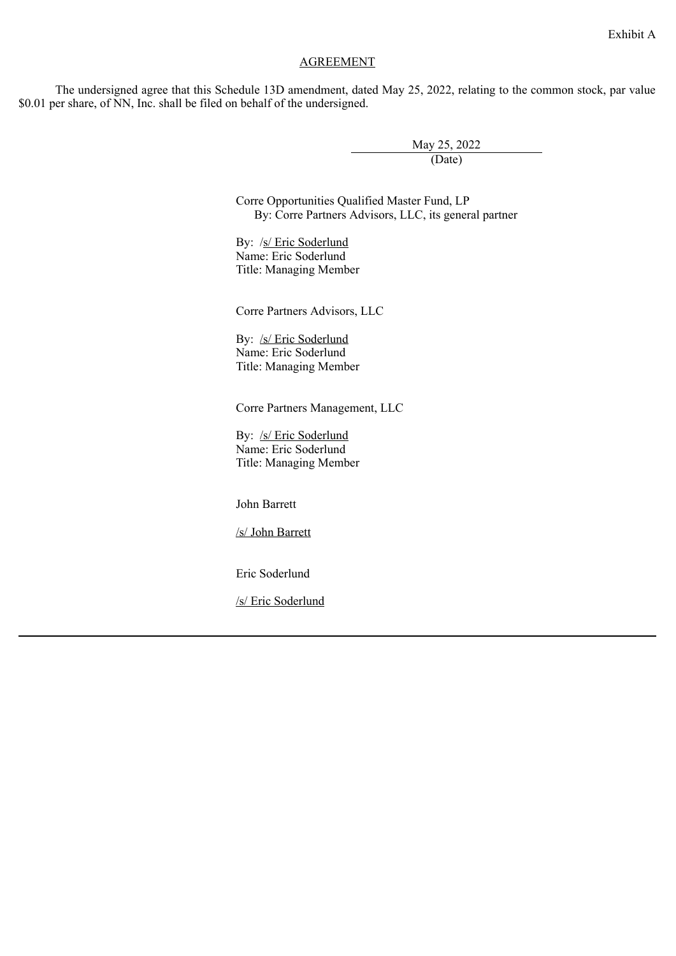# Exhibit A

### AGREEMENT

The undersigned agree that this Schedule 13D amendment, dated May 25, 2022, relating to the common stock, par value \$0.01 per share, of NN, Inc. shall be filed on behalf of the undersigned.

> May 25, 2022 (Date)

Corre Opportunities Qualified Master Fund, LP By: Corre Partners Advisors, LLC, its general partner

By: /s/ Eric Soderlund Name: Eric Soderlund Title: Managing Member

Corre Partners Advisors, LLC

By: /s/ Eric Soderlund Name: Eric Soderlund Title: Managing Member

Corre Partners Management, LLC

By: /s/ Eric Soderlund Name: Eric Soderlund Title: Managing Member

John Barrett

/s/ John Barrett

Eric Soderlund

/s/ Eric Soderlund